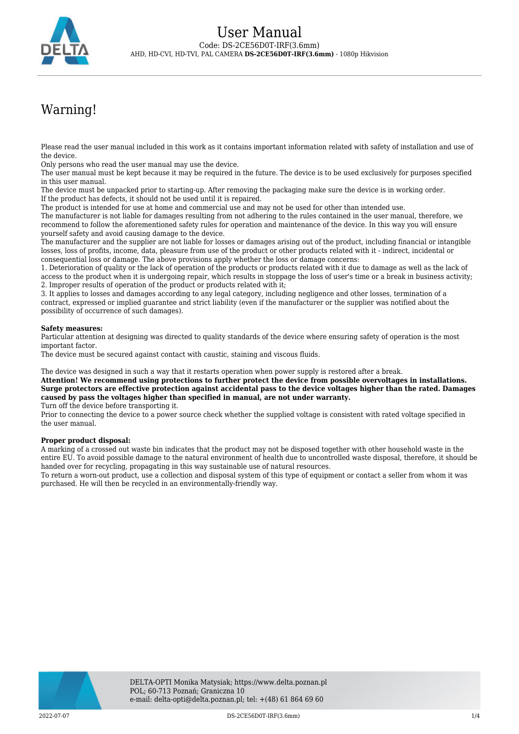

# Warning!

Please read the user manual included in this work as it contains important information related with safety of installation and use of the device.

Only persons who read the user manual may use the device.

The user manual must be kept because it may be required in the future. The device is to be used exclusively for purposes specified in this user manual.

The device must be unpacked prior to starting-up. After removing the packaging make sure the device is in working order. If the product has defects, it should not be used until it is repaired.

The product is intended for use at home and commercial use and may not be used for other than intended use.

The manufacturer is not liable for damages resulting from not adhering to the rules contained in the user manual, therefore, we recommend to follow the aforementioned safety rules for operation and maintenance of the device. In this way you will ensure yourself safety and avoid causing damage to the device.

The manufacturer and the supplier are not liable for losses or damages arising out of the product, including financial or intangible losses, loss of profits, income, data, pleasure from use of the product or other products related with it - indirect, incidental or consequential loss or damage. The above provisions apply whether the loss or damage concerns:

1. Deterioration of quality or the lack of operation of the products or products related with it due to damage as well as the lack of access to the product when it is undergoing repair, which results in stoppage the loss of user's time or a break in business activity; 2. Improper results of operation of the product or products related with it;

3. It applies to losses and damages according to any legal category, including negligence and other losses, termination of a contract, expressed or implied guarantee and strict liability (even if the manufacturer or the supplier was notified about the possibility of occurrence of such damages).

### **Safety measures:**

Particular attention at designing was directed to quality standards of the device where ensuring safety of operation is the most important factor.

The device must be secured against contact with caustic, staining and viscous fluids.

The device was designed in such a way that it restarts operation when power supply is restored after a break.

**Attention! We recommend using protections to further protect the device from possible overvoltages in installations. Surge protectors are effective protection against accidental pass to the device voltages higher than the rated. Damages caused by pass the voltages higher than specified in manual, are not under warranty.**

Turn off the device before transporting it.

Prior to connecting the device to a power source check whether the supplied voltage is consistent with rated voltage specified in the user manual.

#### **Proper product disposal:**

A marking of a crossed out waste bin indicates that the product may not be disposed together with other household waste in the entire EU. To avoid possible damage to the natural environment of health due to uncontrolled waste disposal, therefore, it should be handed over for recycling, propagating in this way sustainable use of natural resources.

To return a worn-out product, use a collection and disposal system of this type of equipment or contact a seller from whom it was purchased. He will then be recycled in an environmentally-friendly way.

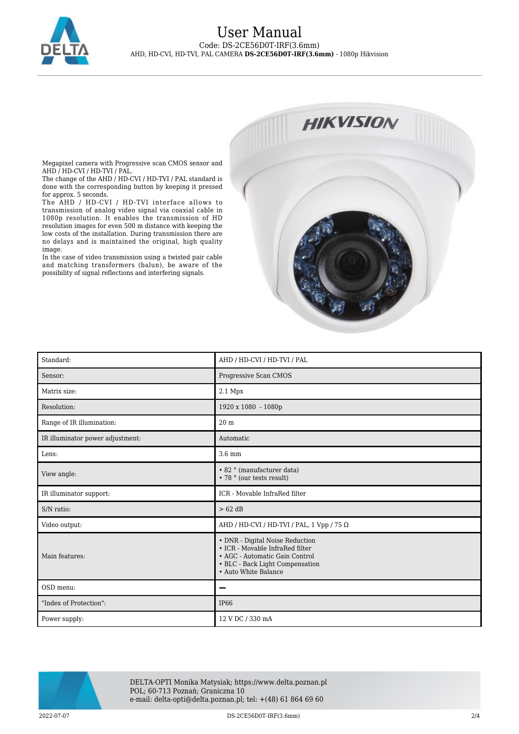

## User Manual Code: DS-2CE56D0T-IRF(3.6mm) AHD, HD-CVI, HD-TVI, PAL CAMERA **DS-2CE56D0T-IRF(3.6mm)** - 1080p Hikvision



Megapixel camera with Progressive scan CMOS sensor and AHD / HD-CVI / HD-TVI / PAL.

The change of the AHD / HD-CVI / HD-TVI / PAL standard is done with the corresponding button by keeping it pressed for approx. 5 seconds.

The AHD / HD-CVI / HD-TVI interface allows to transmission of analog video signal via coaxial cable in 1080p resolution. It enables the transmission of HD resolution images for even 500 m distance with keeping the low costs of the installation. During transmission there are no delays and is maintained the original, high quality image.

In the case of video transmission using a twisted pair cable and matching transformers (balun), be aware of the possibility of signal reflections and interfering signals.

| Standard:                        | AHD / HD-CVI / HD-TVI / PAL                                                                                                                                     |
|----------------------------------|-----------------------------------------------------------------------------------------------------------------------------------------------------------------|
| Sensor:                          | Progressive Scan CMOS                                                                                                                                           |
| Matrix size:                     | 2.1 Mpx                                                                                                                                                         |
| Resolution:                      | 1920 x 1080 - 1080p                                                                                                                                             |
| Range of IR illumination:        | 20 <sub>m</sub>                                                                                                                                                 |
| IR illuminator power adjustment: | Automatic                                                                                                                                                       |
| Lens:                            | 3.6 mm                                                                                                                                                          |
| View angle:                      | • 82 ° (manufacturer data)<br>• 78 ° (our tests result)                                                                                                         |
| IR illuminator support:          | ICR - Movable InfraRed filter                                                                                                                                   |
| S/N ratio:                       | $> 62$ dB                                                                                                                                                       |
| Video output:                    | AHD / HD-CVI / HD-TVI / PAL, 1 Vpp / 75 $\Omega$                                                                                                                |
| Main features:                   | • DNR - Digital Noise Reduction<br>• ICR - Movable InfraRed filter<br>• AGC - Automatic Gain Control<br>• BLC - Back Light Compensation<br>• Auto White Balance |
| OSD menu:                        | -                                                                                                                                                               |
| "Index of Protection":           | <b>IP66</b>                                                                                                                                                     |
| Power supply:                    | 12 V DC / 330 mA                                                                                                                                                |



DELTA-OPTI Monika Matysiak; https://www.delta.poznan.pl POL; 60-713 Poznań; Graniczna 10 e-mail: delta-opti@delta.poznan.pl; tel: +(48) 61 864 69 60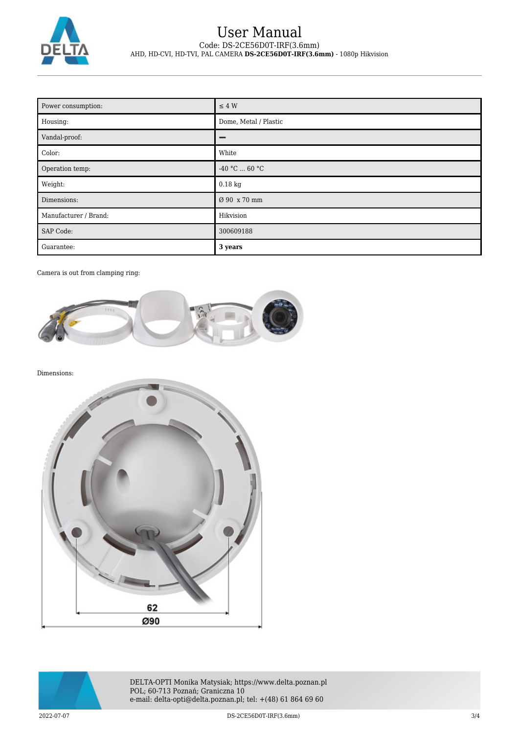

# User Manual Code: DS-2CE56D0T-IRF(3.6mm) AHD, HD-CVI, HD-TVI, PAL CAMERA **DS-2CE56D0T-IRF(3.6mm)** - 1080p Hikvision

| Power consumption:    | $\leq 4$ W            |
|-----------------------|-----------------------|
| Housing:              | Dome, Metal / Plastic |
| Vandal-proof:         | -                     |
| Color:                | White                 |
| Operation temp:       | -40 °C $\ldots$ 60 °C |
| Weight:               | $0.18$ kg             |
| Dimensions:           | Ø 90 x 70 mm          |
| Manufacturer / Brand: | Hikvision             |
| <b>SAP Code:</b>      | 300609188             |
| Guarantee:            | 3 years               |

Camera is out from clamping ring:



Dimensions:





DELTA-OPTI Monika Matysiak; https://www.delta.poznan.pl POL; 60-713 Poznań; Graniczna 10 e-mail: delta-opti@delta.poznan.pl; tel: +(48) 61 864 69 60